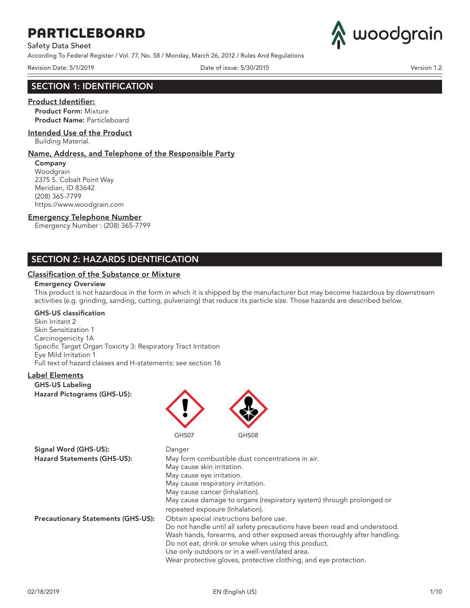Safety Data Sheet

According To Federal Register / Vol. 77, No. 58 / Monday, March 26, 2012 / Rules And Regulations

woodgrain

Revision Date: 5/1/2019 **Date: 5/30/2015** Date of issue: 5/30/2015

### SECTION 1: IDENTIFICATION

### Product Identifier:

Product Form: Mixture Product Name: Particleboard

#### Intended Use of the Product

Building Material.

#### Name, Address, and Telephone of the Responsible Party

Company Woodgrain 2375 S. Cobalt Point Way Meridian, ID 83642 (208) 365-7799 https://www.woodgrain.com

#### Emergency Telephone Number

Emergency Number : (208) 365-7799

### SECTION 2: HAZARDS IDENTIFICATION

### Classification of the Substance or Mixture

#### Emergency Overview

This product is not hazardous in the form in which it is shipped by the manufacturer but may become hazardous by downstream activities (e.g. grinding, sanding, cutting, pulverizing) that reduce its particle size. Those hazards are described below.

### GHS-US classification

Skin Irritant 2 Skin Sensitization 1 Carcinogenicity 1A Specific Target Organ Toxicity 3: Respiratory Tract Irritation Eye Mild Irritation 1 Full text of hazard classes and H-statements: see section 16

### Label Elements

GHS-US Labeling Hazard Pictograms (GHS-US):



| Signal Word (GHS-US):                     | Danger                                                                                                                                                                                                                                                                                                                              |
|-------------------------------------------|-------------------------------------------------------------------------------------------------------------------------------------------------------------------------------------------------------------------------------------------------------------------------------------------------------------------------------------|
| Hazard Statements (GHS-US):               | May form combustible dust concentrations in air.                                                                                                                                                                                                                                                                                    |
|                                           | May cause skin irritation.                                                                                                                                                                                                                                                                                                          |
|                                           | May cause eye irritation.                                                                                                                                                                                                                                                                                                           |
|                                           | May cause respiratory irritation.                                                                                                                                                                                                                                                                                                   |
|                                           | May cause cancer (Inhalation).                                                                                                                                                                                                                                                                                                      |
|                                           | May cause damage to organs (respiratory system) through prolonged or                                                                                                                                                                                                                                                                |
|                                           | repeated exposure (Inhalation).                                                                                                                                                                                                                                                                                                     |
| <b>Precautionary Statements (GHS-US):</b> | Obtain special instructions before use.                                                                                                                                                                                                                                                                                             |
|                                           | Do not handle until all safety precautions have been read and understood.<br>Wash hands, forearms, and other exposed areas thoroughly after handling.<br>Do not eat, drink or smoke when using this product.<br>Use only outdoors or in a well-ventilated area.<br>Wear protective gloves, protective clothing, and eye protection. |
|                                           |                                                                                                                                                                                                                                                                                                                                     |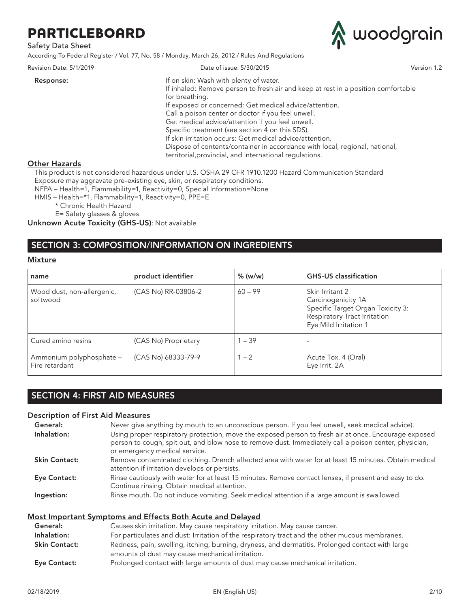### Safety Data Sheet

According To Federal Register / Vol. 77, No. 58 / Monday, March 26, 2012 / Rules And Regulations



| Revision Date: 5/1/2019 | Date of issue: 5/30/2015                                                          | Version 1.2 |
|-------------------------|-----------------------------------------------------------------------------------|-------------|
| Response:               | If on skin: Wash with plenty of water.                                            |             |
|                         | If inhaled: Remove person to fresh air and keep at rest in a position comfortable |             |
|                         | for breathing.                                                                    |             |
|                         | If exposed or concerned: Get medical advice/attention.                            |             |
|                         | Call a poison center or doctor if you feel unwell.                                |             |
|                         | Get medical advice/attention if you feel unwell.                                  |             |
|                         | Specific treatment (see section 4 on this SDS).                                   |             |
|                         | If skin irritation occurs: Get medical advice/attention.                          |             |
|                         | Dispose of contents/container in accordance with local, regional, national,       |             |
|                         | territorial, provincial, and international regulations.                           |             |
| <u> Other Hazards</u>   |                                                                                   |             |
|                         |                                                                                   |             |

This product is not considered hazardous under U.S. OSHA 29 CFR 1910.1200 Hazard Communication Standard Exposure may aggravate pre-existing eye, skin, or respiratory conditions.

NFPA – Health=1, Flammability=1, Reactivity=0, Special Information=None

HMIS – Health=\*1, Flammability=1, Reactivity=0, PPE=E

\* Chronic Health Hazard

E= Safety glasses & gloves

Unknown Acute Toxicity (GHS-US): Not available

## SECTION 3: COMPOSITION/INFORMATION ON INGREDIENTS

#### **Mixture**

| name                                       | product identifier   | $%$ (w/w) | <b>GHS-US</b> classification                                                                                                        |
|--------------------------------------------|----------------------|-----------|-------------------------------------------------------------------------------------------------------------------------------------|
| Wood dust, non-allergenic,<br>softwood     | (CAS No) RR-03806-2  | $60 - 99$ | Skin Irritant 2<br>Carcinogenicity 1A<br>Specific Target Organ Toxicity 3:<br>Respiratory Tract Irritation<br>Eye Mild Irritation 1 |
| Cured amino resins                         | (CAS No) Proprietary | $1 - 39$  |                                                                                                                                     |
| Ammonium polyphosphate -<br>Fire retardant | (CAS No) 68333-79-9  | $1 - 2$   | Acute Tox. 4 (Oral)<br>Eye Irrit. 2A                                                                                                |

## SECTION 4: FIRST AID MEASURES

### Description of First Aid Measures

| General:             | Never give anything by mouth to an unconscious person. If you feel unwell, seek medical advice).                                                                                                                                               |
|----------------------|------------------------------------------------------------------------------------------------------------------------------------------------------------------------------------------------------------------------------------------------|
| Inhalation:          | Using proper respiratory protection, move the exposed person to fresh air at once. Encourage exposed<br>person to cough, spit out, and blow nose to remove dust. Immediately call a poison center, physician,<br>or emergency medical service. |
| <b>Skin Contact:</b> | Remove contaminated clothing. Drench affected area with water for at least 15 minutes. Obtain medical<br>attention if irritation develops or persists.                                                                                         |
| Eye Contact:         | Rinse cautiously with water for at least 15 minutes. Remove contact lenses, if present and easy to do.<br>Continue rinsing. Obtain medical attention.                                                                                          |
| Ingestion:           | Rinse mouth. Do not induce vomiting. Seek medical attention if a large amount is swallowed.                                                                                                                                                    |

### Most Important Symptoms and Effects Both Acute and Delayed

| General:             | Causes skin irritation. May cause respiratory irritation. May cause cancer.                                                                          |
|----------------------|------------------------------------------------------------------------------------------------------------------------------------------------------|
| Inhalation:          | For particulates and dust: Irritation of the respiratory tract and the other mucous membranes.                                                       |
| <b>Skin Contact:</b> | Redness, pain, swelling, itching, burning, dryness, and dermatitis. Prolonged contact with large<br>amounts of dust may cause mechanical irritation. |
| Eye Contact:         | Prolonged contact with large amounts of dust may cause mechanical irritation.                                                                        |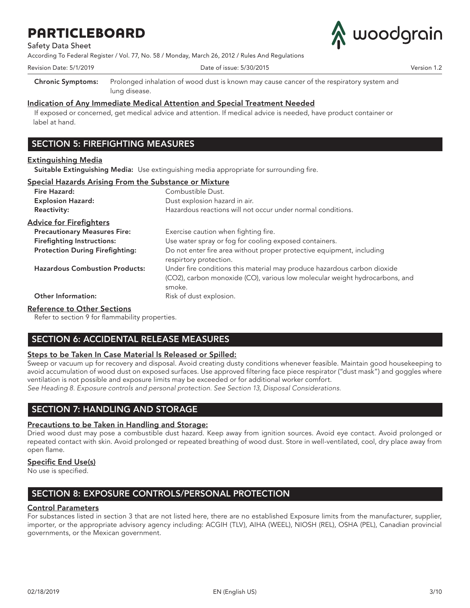Safety Data Sheet

According To Federal Register / Vol. 77, No. 58 / Monday, March 26, 2012 / Rules And Regulations



Revision Date: 5/1/2019 Date of issue: 5/30/2015 Version 1.2 Chronic Symptoms: Prolonged inhalation of wood dust is known may cause cancer of the respiratory system and

Indication of Any Immediate Medical Attention and Special Treatment Needed

If exposed or concerned, get medical advice and attention. If medical advice is needed, have product container or label at hand.

## SECTION 5: FIREFIGHTING MEASURES

### Extinguishing Media

Suitable Extinguishing Media: Use extinguishing media appropriate for surrounding fire.

|  |  |  | Special Hazards Arising From the Substance or Mixture |  |
|--|--|--|-------------------------------------------------------|--|
|  |  |  |                                                       |  |

lung disease.

| Fire Hazard:                           | Combustible Dust.                                                                                                                                                 |
|----------------------------------------|-------------------------------------------------------------------------------------------------------------------------------------------------------------------|
| <b>Explosion Hazard:</b>               | Dust explosion hazard in air.                                                                                                                                     |
| <b>Reactivity:</b>                     | Hazardous reactions will not occur under normal conditions.                                                                                                       |
| <b>Advice for Firefighters</b>         |                                                                                                                                                                   |
| <b>Precautionary Measures Fire:</b>    | Exercise caution when fighting fire.                                                                                                                              |
| <b>Firefighting Instructions:</b>      | Use water spray or fog for cooling exposed containers.                                                                                                            |
| <b>Protection During Firefighting:</b> | Do not enter fire area without proper protective equipment, including<br>respirtory protection.                                                                   |
| <b>Hazardous Combustion Products:</b>  | Under fire conditions this material may produce hazardous carbon dioxide<br>(CO2), carbon monoxide (CO), various low molecular weight hydrocarbons, and<br>smoke. |
| <b>Other Information:</b>              | Risk of dust explosion.                                                                                                                                           |

### Reference to Other Sections

Refer to section 9 for flammability properties.

## SECTION 6: ACCIDENTAL RELEASE MEASURES

### Steps to be Taken In Case Material ls Released or Spilled:

Sweep or vacuum up for recovery and disposal. Avoid creating dusty conditions whenever feasible. Maintain good housekeeping to avoid accumulation of wood dust on exposed surfaces. Use approved filtering face piece respirator ("dust mask") and goggles where ventilation is not possible and exposure limits may be exceeded or for additional worker comfort. *See Heading 8. Exposure controls and personal protection. See Section 13, Disposal Considerations.*

SECTION 7: HANDLING AND STORAGE

### Precautions to be Taken in Handling and Storage:

Dried wood dust may pose a combustible dust hazard. Keep away from ignition sources. Avoid eye contact. Avoid prolonged or repeated contact with skin. Avoid prolonged or repeated breathing of wood dust. Store in well-ventilated, cool, dry place away from open flame.

### Specific End Use(s)

No use is specified.

## SECTION 8: EXPOSURE CONTROLS/PERSONAL PROTECTION

### Control Parameters

For substances listed in section 3 that are not listed here, there are no established Exposure limits from the manufacturer, supplier, importer, or the appropriate advisory agency including: ACGIH (TLV), AIHA (WEEL), NIOSH (REL), OSHA (PEL), Canadian provincial governments, or the Mexican government.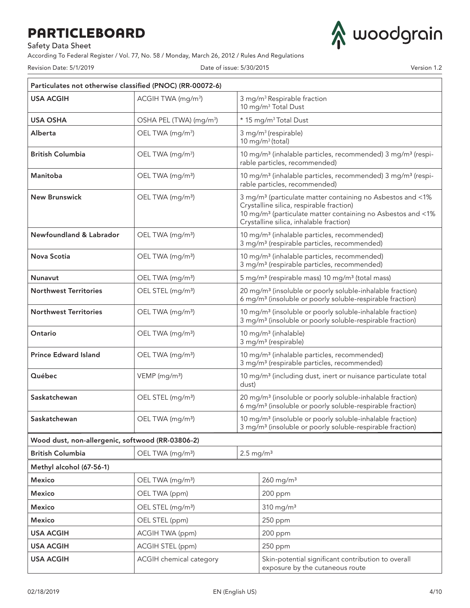Safety Data Sheet

According To Federal Register / Vol. 77, No. 58 / Monday, March 26, 2012 / Rules And Regulations

Revision Date: 5/1/2019 Date of issue: 5/30/2015 Version 1.2

woodgrain

| Particulates not otherwise classified (PNOC) (RR-00072-6) |                                                      |       |                                                                                                                                                                                                                                          |  |  |
|-----------------------------------------------------------|------------------------------------------------------|-------|------------------------------------------------------------------------------------------------------------------------------------------------------------------------------------------------------------------------------------------|--|--|
| <b>USA ACGIH</b>                                          | ACGIH TWA (mg/m <sup>3</sup> )                       |       | 3 mg/m <sup>3</sup> Respirable fraction<br>10 mg/m <sup>3</sup> Total Dust                                                                                                                                                               |  |  |
| <b>USA OSHA</b>                                           | OSHA PEL (TWA) (mg/m <sup>3</sup> )                  |       | * 15 mg/m <sup>3</sup> Total Dust                                                                                                                                                                                                        |  |  |
| Alberta                                                   | OEL TWA (mg/m <sup>3</sup> )                         |       | 3 mg/m <sup>3</sup> (respirable)<br>10 mg/m $3$ (total)                                                                                                                                                                                  |  |  |
| <b>British Columbia</b>                                   | OEL TWA (mg/m <sup>3</sup> )                         |       | 10 mg/m <sup>3</sup> (inhalable particles, recommended) 3 mg/m <sup>3</sup> (respi-<br>rable particles, recommended)                                                                                                                     |  |  |
| Manitoba                                                  | OEL TWA (mg/m <sup>3</sup> )                         |       | 10 mg/m <sup>3</sup> (inhalable particles, recommended) 3 mg/m <sup>3</sup> (respi-<br>rable particles, recommended)                                                                                                                     |  |  |
| <b>New Brunswick</b>                                      | OEL TWA (mg/m <sup>3</sup> )                         |       | 3 mg/m <sup>3</sup> (particulate matter containing no Asbestos and <1%<br>Crystalline silica, respirable fraction)<br>10 mg/m <sup>3</sup> (particulate matter containing no Asbestos and <1%<br>Crystalline silica, inhalable fraction) |  |  |
| Newfoundland & Labrador                                   | OEL TWA (mg/m <sup>3</sup> )                         |       | 10 mg/m <sup>3</sup> (inhalable particles, recommended)<br>3 mg/m <sup>3</sup> (respirable particles, recommended)                                                                                                                       |  |  |
| Nova Scotia                                               | OEL TWA (mg/m <sup>3</sup> )                         |       | 10 mg/m <sup>3</sup> (inhalable particles, recommended)<br>3 mg/m <sup>3</sup> (respirable particles, recommended)                                                                                                                       |  |  |
| <b>Nunavut</b>                                            | OEL TWA (mg/m <sup>3</sup> )                         |       | 5 mg/m <sup>3</sup> (respirable mass) 10 mg/m <sup>3</sup> (total mass)                                                                                                                                                                  |  |  |
| <b>Northwest Territories</b>                              | OEL STEL (mg/m <sup>3</sup> )                        |       | 20 mg/m <sup>3</sup> (insoluble or poorly soluble-inhalable fraction)<br>6 mg/m <sup>3</sup> (insoluble or poorly soluble-respirable fraction)                                                                                           |  |  |
| <b>Northwest Territories</b>                              | OEL TWA (mg/m <sup>3</sup> )                         |       | 10 mg/m <sup>3</sup> (insoluble or poorly soluble-inhalable fraction)<br>3 mg/m <sup>3</sup> (insoluble or poorly soluble-respirable fraction)                                                                                           |  |  |
| Ontario                                                   | OEL TWA (mg/m <sup>3</sup> )                         |       | 10 mg/m <sup>3</sup> (inhalable)<br>3 mg/m <sup>3</sup> (respirable)                                                                                                                                                                     |  |  |
| <b>Prince Edward Island</b>                               | OEL TWA (mg/m <sup>3</sup> )                         |       | 10 mg/m <sup>3</sup> (inhalable particles, recommended)<br>3 mg/m <sup>3</sup> (respirable particles, recommended)                                                                                                                       |  |  |
| Québec                                                    | VEMP (mg/m <sup>3</sup> )                            | dust) | 10 mg/m <sup>3</sup> (including dust, inert or nuisance particulate total                                                                                                                                                                |  |  |
| Saskatchewan                                              | OEL STEL (mg/m <sup>3</sup> )                        |       | 20 mg/m <sup>3</sup> (insoluble or poorly soluble-inhalable fraction)<br>6 mg/m <sup>3</sup> (insoluble or poorly soluble-respirable fraction)                                                                                           |  |  |
| Saskatchewan                                              | OEL TWA (mg/m <sup>3</sup> )                         |       | 10 mg/m <sup>3</sup> (insoluble or poorly soluble-inhalable fraction)<br>3 mg/m <sup>3</sup> (insoluble or poorly soluble-respirable fraction)                                                                                           |  |  |
| Wood dust, non-allergenic, softwood (RR-03806-2)          |                                                      |       |                                                                                                                                                                                                                                          |  |  |
| <b>British Columbia</b>                                   | $2.5 \text{ mg/m}^3$<br>OEL TWA (mg/m <sup>3</sup> ) |       |                                                                                                                                                                                                                                          |  |  |
| Methyl alcohol (67-56-1)                                  |                                                      |       |                                                                                                                                                                                                                                          |  |  |
| <b>Mexico</b>                                             | OEL TWA (mg/m <sup>3</sup> )                         |       | $260$ mg/m <sup>3</sup>                                                                                                                                                                                                                  |  |  |
| Mexico                                                    | OEL TWA (ppm)                                        |       | 200 ppm                                                                                                                                                                                                                                  |  |  |
| Mexico                                                    | OEL STEL (mg/m <sup>3</sup> )                        |       | $310$ mg/m <sup>3</sup>                                                                                                                                                                                                                  |  |  |
| Mexico                                                    | OEL STEL (ppm)                                       |       | 250 ppm                                                                                                                                                                                                                                  |  |  |
| <b>USA ACGIH</b>                                          | ACGIH TWA (ppm)                                      |       | 200 ppm                                                                                                                                                                                                                                  |  |  |
| <b>USA ACGIH</b>                                          | ACGIH STEL (ppm)                                     |       | 250 ppm                                                                                                                                                                                                                                  |  |  |
| <b>USA ACGIH</b>                                          | ACGIH chemical category                              |       | Skin-potential significant contribution to overall<br>exposure by the cutaneous route                                                                                                                                                    |  |  |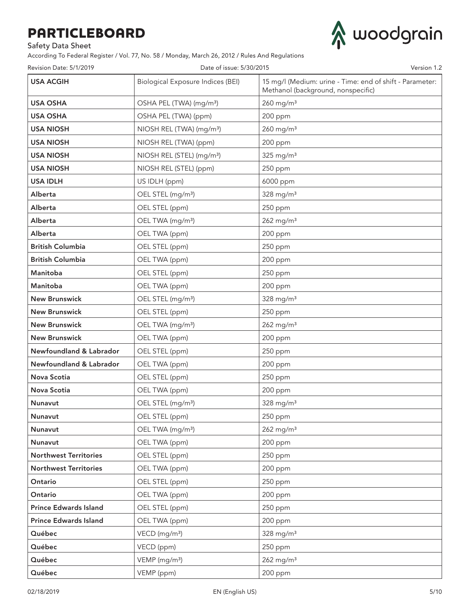Safety Data Sheet

According To Federal Register / Vol. 77, No. 58 / Monday, March 26, 2012 / Rules And Regulations



| Revision Date: 5/1/2019      | Date of issue: 5/30/2015                 | Version 1.2                                                                                    |
|------------------------------|------------------------------------------|------------------------------------------------------------------------------------------------|
| <b>USA ACGIH</b>             | <b>Biological Exposure Indices (BEI)</b> | 15 mg/l (Medium: urine - Time: end of shift - Parameter:<br>Methanol (background, nonspecific) |
| USA OSHA                     | OSHA PEL (TWA) (mg/m <sup>3</sup> )      | $260$ mg/m <sup>3</sup>                                                                        |
| <b>USA OSHA</b>              | OSHA PEL (TWA) (ppm)                     | 200 ppm                                                                                        |
| <b>USA NIOSH</b>             | NIOSH REL (TWA) (mg/m <sup>3</sup> )     | $260$ mg/m <sup>3</sup>                                                                        |
| <b>USA NIOSH</b>             | NIOSH REL (TWA) (ppm)                    | 200 ppm                                                                                        |
| <b>USA NIOSH</b>             | NIOSH REL (STEL) (mg/m <sup>3</sup> )    | $325$ mg/m <sup>3</sup>                                                                        |
| <b>USA NIOSH</b>             | NIOSH REL (STEL) (ppm)                   | 250 ppm                                                                                        |
| <b>USA IDLH</b>              | US IDLH (ppm)                            | 6000 ppm                                                                                       |
| Alberta                      | OEL STEL (mg/m <sup>3</sup> )            | $328$ mg/m <sup>3</sup>                                                                        |
| Alberta                      | OEL STEL (ppm)                           | 250 ppm                                                                                        |
| Alberta                      | OEL TWA (mg/m <sup>3</sup> )             | $262$ mg/m <sup>3</sup>                                                                        |
| Alberta                      | OEL TWA (ppm)                            | 200 ppm                                                                                        |
| <b>British Columbia</b>      | OEL STEL (ppm)                           | 250 ppm                                                                                        |
| <b>British Columbia</b>      | OEL TWA (ppm)                            | 200 ppm                                                                                        |
| Manitoba                     | OEL STEL (ppm)                           | 250 ppm                                                                                        |
| Manitoba                     | OEL TWA (ppm)                            | 200 ppm                                                                                        |
| <b>New Brunswick</b>         | OEL STEL (mg/m <sup>3</sup> )            | $328$ mg/m <sup>3</sup>                                                                        |
| <b>New Brunswick</b>         | OEL STEL (ppm)                           | 250 ppm                                                                                        |
| <b>New Brunswick</b>         | OEL TWA (mg/m <sup>3</sup> )             | $262$ mg/m <sup>3</sup>                                                                        |
| <b>New Brunswick</b>         | OEL TWA (ppm)                            | 200 ppm                                                                                        |
| Newfoundland & Labrador      | OEL STEL (ppm)                           | 250 ppm                                                                                        |
| Newfoundland & Labrador      | OEL TWA (ppm)                            | 200 ppm                                                                                        |
| <b>Nova Scotia</b>           | OEL STEL (ppm)                           | 250 ppm                                                                                        |
| <b>Nova Scotia</b>           | OEL TWA (ppm)                            | 200 ppm                                                                                        |
| Nunavut                      | OEL STEL (mg/m <sup>3</sup> )            | 328 mg/m <sup>3</sup>                                                                          |
| Nunavut                      | OEL STEL (ppm)                           | 250 ppm                                                                                        |
| Nunavut                      | OEL TWA (mg/m <sup>3</sup> )             | $262$ mg/m <sup>3</sup>                                                                        |
| Nunavut                      | OEL TWA (ppm)                            | 200 ppm                                                                                        |
| <b>Northwest Territories</b> | OEL STEL (ppm)                           | 250 ppm                                                                                        |
| <b>Northwest Territories</b> | OEL TWA (ppm)                            | 200 ppm                                                                                        |
| Ontario                      | OEL STEL (ppm)                           | 250 ppm                                                                                        |
| Ontario                      | OEL TWA (ppm)                            | 200 ppm                                                                                        |
| <b>Prince Edwards Island</b> | OEL STEL (ppm)                           | 250 ppm                                                                                        |
| <b>Prince Edwards Island</b> | OEL TWA (ppm)                            | 200 ppm                                                                                        |
| Québec                       | VECD (mg/m <sup>3</sup> )                | $328$ mg/m <sup>3</sup>                                                                        |
| Québec                       | VECD (ppm)                               | 250 ppm                                                                                        |
| Québec                       | VEMP (mg/m <sup>3</sup> )                | 262 mg/m <sup>3</sup>                                                                          |
| Québec                       | VEMP (ppm)                               | 200 ppm                                                                                        |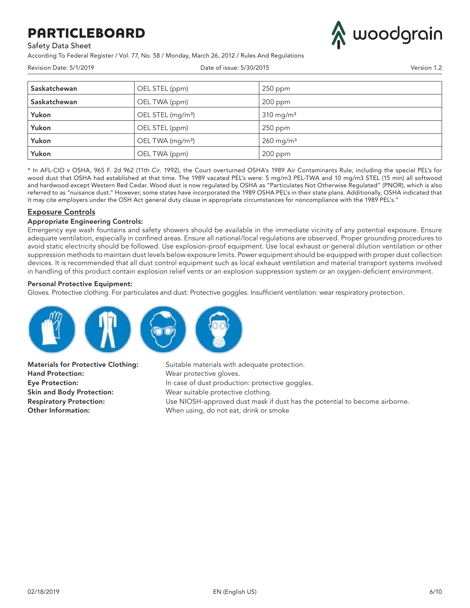Safety Data Sheet

According To Federal Register / Vol. 77, No. 58 / Monday, March 26, 2012 / Rules And Regulations



| Revision Date: 5/1/2019 |                               | Date of issue: 5/30/2015 |  |  |
|-------------------------|-------------------------------|--------------------------|--|--|
| Saskatchewan            | OEL STEL (ppm)                | 250 ppm                  |  |  |
| Saskatchewan            | OEL TWA (ppm)                 | 200 ppm                  |  |  |
| Yukon                   | OEL STEL (mg/m <sup>3</sup> ) | $310$ mg/m <sup>3</sup>  |  |  |
| Yukon                   | OEL STEL (ppm)                | 250 ppm                  |  |  |
| Yukon                   | OEL TWA (mg/m <sup>3</sup> )  | $260$ mg/m <sup>3</sup>  |  |  |
| Yukon                   | OEL TWA (ppm)                 | 200 ppm                  |  |  |

\* In AFL-CIO v OSHA, 965 F. 2d 962 (11th Cir. 1992), the Court overturned OSHA's 1989 Air Contaminants Rule, including the special PEL's for wood dust that OSHA had established at that time. The 1989 vacated PEL's were: 5 mg/m3 PEL-TWA and 10 mg/m3 STEL (15 min) all softwood and hardwood except Western Red Cedar. Wood dust is now regulated by OSHA as "Particulates Not Otherwise Regulated" (PNOR), which is also referred to as "nuisance dust." However, some states have incorporated the 1989 OSHA PEL's in their state plans. Additionally, OSHA indicated that it may cite employers under the OSH Act general duty clause in appropriate circumstances for noncompliance with the 1989 PEL's."

### Exposure Controls

#### Appropriate Engineering Controls:

Emergency eye wash fountains and safety showers should be available in the immediate vicinity of any potential exposure. Ensure adequate ventilation, especially in confined areas. Ensure all national/local regulations are observed. Proper grounding procedures to avoid static electricity should be followed. Use explosion-proof equipment. Use local exhaust or general dilution ventilation or other suppression methods to maintain dust levels below exposure limits. Power equipment should be equipped with proper dust collection devices. It is recommended that all dust control equipment such as local exhaust ventilation and material transport systems involved in handling of this product contain explosion relief vents or an explosion suppression system or an oxygen-deficient environment.

#### Personal Protective Equipment:

Gloves. Protective clothing. For particulates and dust: Protective goggles. Insufficient ventilation: wear respiratory protection.



Hand Protection: Wear protective gloves. Skin and Body Protection: Wear suitable protective clothing.

**Materials for Protective Clothing:** Suitable materials with adequate protection. Eye Protection: **In case of dust production: protective goggles.** Respiratory Protection: Use NIOSH-approved dust mask if dust has the potential to become airborne. Other Information: When using, do not eat, drink or smoke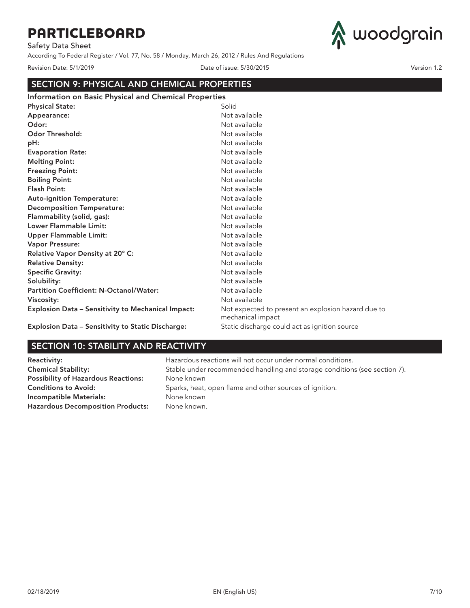Safety Data Sheet

According To Federal Register / Vol. 77, No. 58 / Monday, March 26, 2012 / Rules And Regulations



Revision Date: 5/1/2019 Date of issue: 5/30/2015 Version 1.2

| <b>SECTION 9: PHYSICAL AND CHEMICAL PROPERTIES</b>           |                                                                         |  |  |  |
|--------------------------------------------------------------|-------------------------------------------------------------------------|--|--|--|
| <b>Information on Basic Physical and Chemical Properties</b> |                                                                         |  |  |  |
| <b>Physical State:</b>                                       | Solid                                                                   |  |  |  |
| Appearance:                                                  | Not available                                                           |  |  |  |
| Odor:                                                        | Not available                                                           |  |  |  |
| Odor Threshold:                                              | Not available                                                           |  |  |  |
| pH:                                                          | Not available                                                           |  |  |  |
| <b>Evaporation Rate:</b>                                     | Not available                                                           |  |  |  |
| <b>Melting Point:</b>                                        | Not available                                                           |  |  |  |
| Freezing Point:                                              | Not available                                                           |  |  |  |
| <b>Boiling Point:</b>                                        | Not available                                                           |  |  |  |
| Flash Point:                                                 | Not available                                                           |  |  |  |
| <b>Auto-ignition Temperature:</b>                            | Not available                                                           |  |  |  |
| <b>Decomposition Temperature:</b>                            | Not available                                                           |  |  |  |
| Flammability (solid, gas):                                   | Not available                                                           |  |  |  |
| Lower Flammable Limit:                                       | Not available                                                           |  |  |  |
| <b>Upper Flammable Limit:</b>                                | Not available                                                           |  |  |  |
| Vapor Pressure:                                              | Not available                                                           |  |  |  |
| Relative Vapor Density at 20° C:                             | Not available                                                           |  |  |  |
| <b>Relative Density:</b>                                     | Not available                                                           |  |  |  |
| <b>Specific Gravity:</b>                                     | Not available                                                           |  |  |  |
| Solubility:                                                  | Not available                                                           |  |  |  |
| Partition Coefficient: N-Octanol/Water:                      | Not available                                                           |  |  |  |
| Viscosity:                                                   | Not available                                                           |  |  |  |
| <b>Explosion Data - Sensitivity to Mechanical Impact:</b>    | Not expected to present an explosion hazard due to<br>mechanical impact |  |  |  |
| <b>Explosion Data - Sensitivity to Static Discharge:</b>     | Static discharge could act as ignition source                           |  |  |  |

## SECTION 10: STABILITY AND REACTIVITY

Possibility of Hazardous Reactions: None known Incompatible Materials: None known Hazardous Decomposition Products: None known.

Reactivity: **Reactivity: Hazardous reactions will not occur under normal conditions.** Chemical Stability: Stable under recommended handling and storage conditions (see section 7). Conditions to Avoid: Sparks, heat, open flame and other sources of ignition.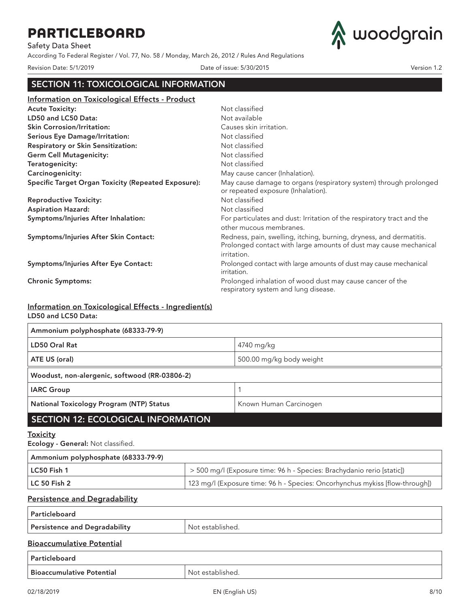Safety Data Sheet

According To Federal Register / Vol. 77, No. 58 / Monday, March 26, 2012 / Rules And Regulations



Revision Date: 5/1/2019 Date of issue: 5/30/2015 Version 1.2

## SECTION 11: TOXICOLOGICAL INFORMATION

| Information on Toxicological Effects - Product             |                                                                                                                                                         |
|------------------------------------------------------------|---------------------------------------------------------------------------------------------------------------------------------------------------------|
| <b>Acute Toxicity:</b>                                     | Not classified                                                                                                                                          |
| LD50 and LC50 Data:                                        | Not available                                                                                                                                           |
| <b>Skin Corrosion/Irritation:</b>                          | Causes skin irritation.                                                                                                                                 |
| <b>Serious Eye Damage/Irritation:</b>                      | Not classified                                                                                                                                          |
| <b>Respiratory or Skin Sensitization:</b>                  | Not classified                                                                                                                                          |
| <b>Germ Cell Mutagenicity:</b>                             | Not classified                                                                                                                                          |
| Teratogenicity:                                            | Not classified                                                                                                                                          |
| Carcinogenicity:                                           | May cause cancer (Inhalation).                                                                                                                          |
| <b>Specific Target Organ Toxicity (Repeated Exposure):</b> | May cause damage to organs (respiratory system) through prolonged<br>or repeated exposure (Inhalation).                                                 |
| <b>Reproductive Toxicity:</b>                              | Not classified                                                                                                                                          |
| <b>Aspiration Hazard:</b>                                  | Not classified                                                                                                                                          |
| Symptoms/Injuries After Inhalation:                        | For particulates and dust: Irritation of the respiratory tract and the<br>other mucous membranes.                                                       |
| Symptoms/Injuries After Skin Contact:                      | Redness, pain, swelling, itching, burning, dryness, and dermatitis.<br>Prolonged contact with large amounts of dust may cause mechanical<br>irritation. |
| Symptoms/Injuries After Eye Contact:                       | Prolonged contact with large amounts of dust may cause mechanical<br>irritation.                                                                        |
| <b>Chronic Symptoms:</b>                                   | Prolonged inhalation of wood dust may cause cancer of the<br>respiratory system and lung disease.                                                       |

### Information on Toxicological Effects - Ingredient(s) LD50 and LC50 Data:

| Ammonium polyphosphate (68333-79-9)             |                          |
|-------------------------------------------------|--------------------------|
| LD50 Oral Rat                                   | 4740 mg/kg               |
| ATE US (oral)                                   | 500.00 mg/kg body weight |
| Woodust, non-alergenic, softwood (RR-03806-2)   |                          |
| <b>IARC Group</b>                               |                          |
| <b>National Toxicology Program (NTP) Status</b> | Known Human Carcinogen   |
| <b>SECTION 12: ECOLOGICAL INFORMATION</b>       |                          |

### **Toxicity**

Ecology - General: Not classified.

| Ammonium polyphosphate (68333-79-9) |                                                                               |
|-------------------------------------|-------------------------------------------------------------------------------|
| LC50 Fish 1                         | > 500 mg/l (Exposure time: 96 h - Species: Brachydanio rerio [static])        |
| LC 50 Fish 2                        | [123 mg/l (Exposure time: 96 h - Species: Oncorhynchus mykiss [flow-through]) |

## Persistence and Degradability

| Particleboard                 |                  |
|-------------------------------|------------------|
| Persistence and Degradability | Not established. |
| Bioaccumulative Potential     |                  |

### Bioaccumulative Potential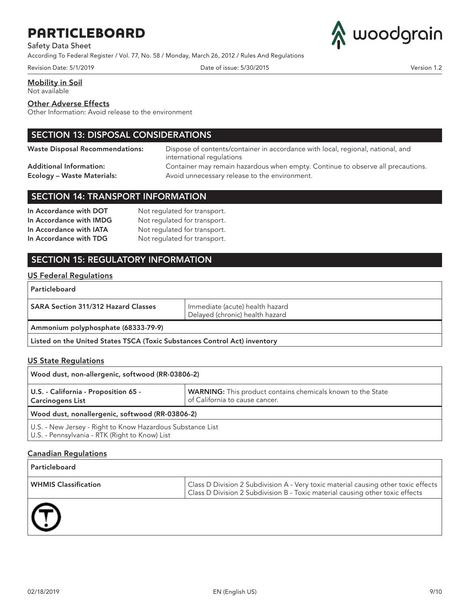Safety Data Sheet

According To Federal Register / Vol. 77, No. 58 / Monday, March 26, 2012 / Rules And Regulations

Revision Date: 5/1/2019 Date of issue: 5/30/2015 Version 1.2



Mobility in Soil

Not available

#### Other Adverse Effects

Other Information: Avoid release to the environment

## SECTION 13: DISPOSAL CONSIDERATIONS

Waste Disposal Recommendations: Dispose of contents/container in accordance with local, regional, national, and international regulations Additional Information: Container may remain hazardous when empty. Continue to observe all precautions. Ecology – Waste Materials: Avoid unnecessary release to the environment.

### SECTION 14: TRANSPORT INFORMATION

| In Accordance with DOT  | Not regulated for transport. |
|-------------------------|------------------------------|
| In Accordance with IMDG | Not regulated for transport. |
| In Accordance with IATA | Not regulated for transport. |
| In Accordance with TDG  | Not regulated for transport. |

## SECTION 15: REGULATORY INFORMATION

### US Federal Regulations

| <b>Particleboard</b>                                                      |                                                                    |
|---------------------------------------------------------------------------|--------------------------------------------------------------------|
| <b>SARA Section 311/312 Hazard Classes</b>                                | Immediate (acute) health hazard<br>Delayed (chronic) health hazard |
| Ammonium polyphosphate (68333-79-9)                                       |                                                                    |
| Listed on the United States TSCA (Toxic Substances Control Act) inventory |                                                                    |

### US State Regulations

| Wood dust, non-allergenic, softwood (RR-03806-2)                                                             |                                                                                               |
|--------------------------------------------------------------------------------------------------------------|-----------------------------------------------------------------------------------------------|
| U.S. - California - Proposition 65 -<br><b>Carcinogens List</b>                                              | WARNING: This product contains chemicals known to the State<br>of California to cause cancer. |
| Wood dust, nonallergenic, softwood (RR-03806-2)                                                              |                                                                                               |
| U.S. - New Jersey - Right to Know Hazardous Substance List<br>U.S. - Pennsylvania - RTK (Right to Know) List |                                                                                               |

### Canadian Regulations

| Particleboard               |                                                                                                                                                                     |
|-----------------------------|---------------------------------------------------------------------------------------------------------------------------------------------------------------------|
| <b>WHMIS Classification</b> | Class D Division 2 Subdivision A - Very toxic material causing other toxic effects<br>Class D Division 2 Subdivision B - Toxic material causing other toxic effects |
|                             |                                                                                                                                                                     |